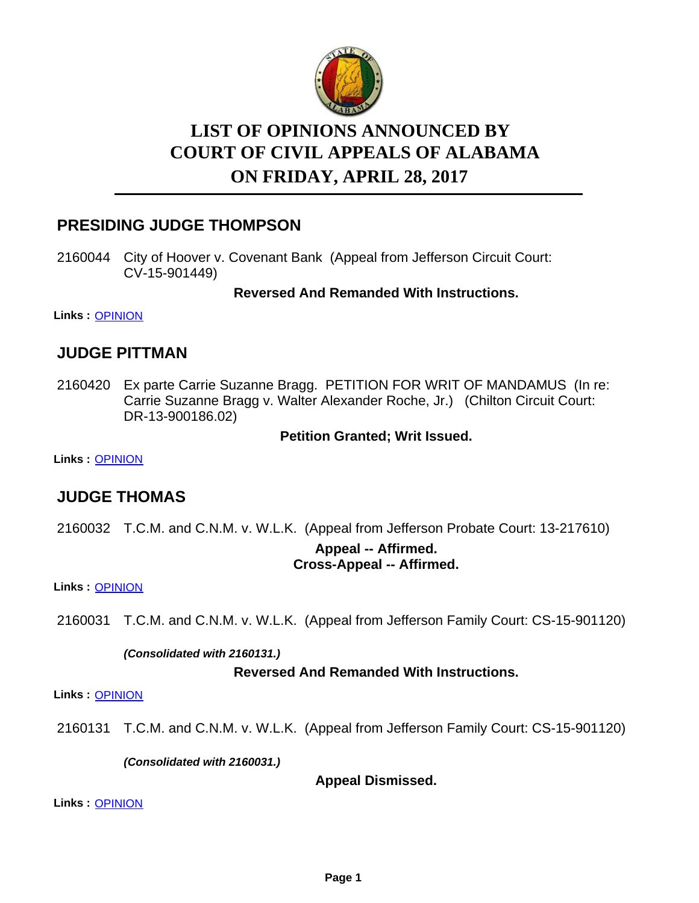

# **LIST OF OPINIONS ANNOUNCED BY ON FRIDAY, APRIL 28, 2017 COURT OF CIVIL APPEALS OF ALABAMA**

# **PRESIDING JUDGE THOMPSON**

2160044 City of Hoover v. Covenant Bank (Appeal from Jefferson Circuit Court: CV-15-901449)

**Reversed And Remanded With Instructions.**

**Links :** [OPINION](https://acis.alabama.gov/displaydocs.cfm?no=799379&event=4WL0KSPVA)

## **JUDGE PITTMAN**

2160420 Ex parte Carrie Suzanne Bragg. PETITION FOR WRIT OF MANDAMUS (In re: Carrie Suzanne Bragg v. Walter Alexander Roche, Jr.) (Chilton Circuit Court: DR-13-900186.02)

**Petition Granted; Writ Issued.**

**Links :** [OPINION](https://acis.alabama.gov/displaydocs.cfm?no=799381&event=4WL0KSQ6A)

# **JUDGE THOMAS**

2160032 T.C.M. and C.N.M. v. W.L.K. (Appeal from Jefferson Probate Court: 13-217610) **Appeal -- Affirmed. Cross-Appeal -- Affirmed.**

**Links :** [OPINION](https://acis.alabama.gov/displaydocs.cfm?no=799378&event=4WL0KSPPS)

2160031 T.C.M. and C.N.M. v. W.L.K. (Appeal from Jefferson Family Court: CS-15-901120)

*(Consolidated with 2160131.)*

#### **Reversed And Remanded With Instructions.**

**Links :** [OPINION](https://acis.alabama.gov/displaydocs.cfm?no=799377&event=4WL0KSP9L)

2160131 T.C.M. and C.N.M. v. W.L.K. (Appeal from Jefferson Family Court: CS-15-901120)

*(Consolidated with 2160031.)*

**Appeal Dismissed.**

**Links :** [OPINION](https://acis.alabama.gov/displaydocs.cfm?no=799377&event=4WL0KSP9L)